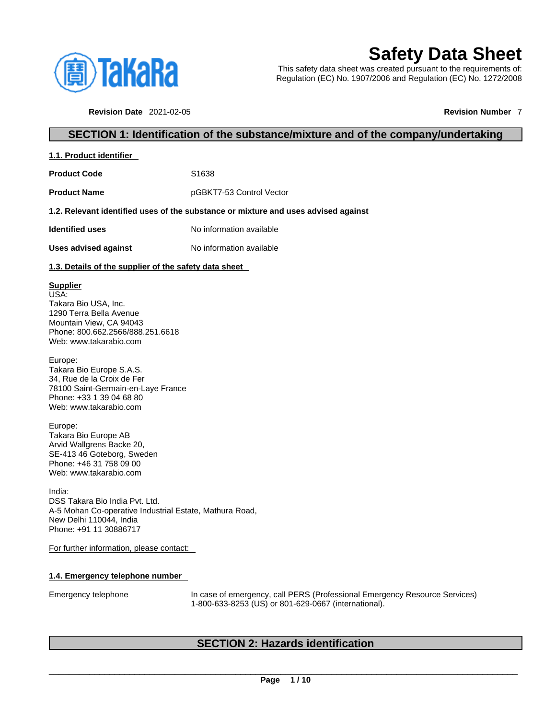

# **Safety Data Sheet**

This safety data sheet was created pursuant to the requirements of: Regulation (EC) No. 1907/2006 and Regulation (EC) No. 1272/2008

**Revision Date** 2021-02-05 **Revision Number** 7

# **SECTION 1: Identification of the substance/mixture and of the company/undertaking**

| 1.1. Product identifier |
|-------------------------|
|-------------------------|

Product Code **S1638** 

**Product Name** pGBKT7-53 Control Vector

# **1.2. Relevant identified uses of the substance or mixture and uses advised against**

**Identified uses** No information available

**Uses advised against** No information available

# **1.3. Details of the supplier of the safety data sheet**

# **Supplier**

USA: Takara Bio USA, Inc. 1290 Terra Bella Avenue Mountain View, CA 94043 Phone: 800.662.2566/888.251.6618 Web: www.takarabio.com

Europe: Takara Bio Europe S.A.S. 34, Rue de la Croix de Fer 78100 Saint-Germain-en-Laye France Phone: +33 1 39 04 68 80 Web: www.takarabio.com

Europe: Takara Bio Europe AB Arvid Wallgrens Backe 20, SE-413 46 Goteborg, Sweden Phone: +46 31 758 09 00 Web: www.takarabio.com

India: DSS Takara Bio India Pvt. Ltd. A-5 Mohan Co-operative Industrial Estate, Mathura Road, New Delhi 110044, India Phone: +91 11 30886717

For further information, please contact:

# **1.4. Emergency telephone number**

Emergency telephone In case of emergency, call PERS (Professional Emergency Resource Services) 1-800-633-8253 (US) or 801-629-0667 (international).

# **SECTION 2: Hazards identification**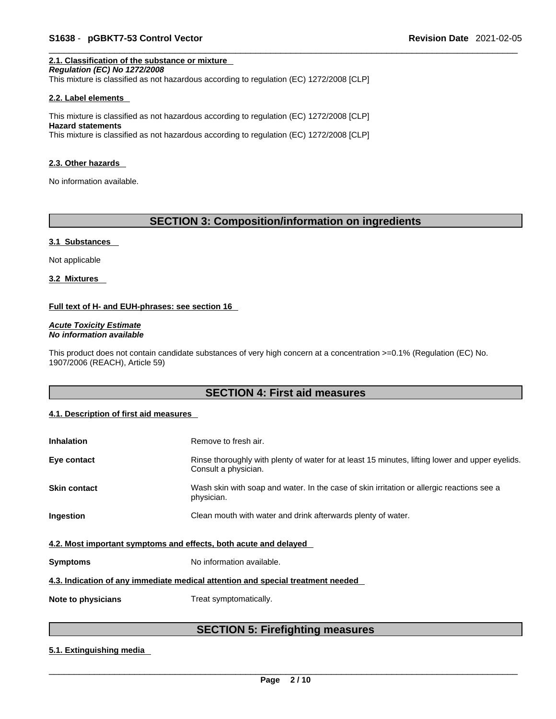# **2.1. Classification of the substance or mixture**

*Regulation (EC) No 1272/2008*  This mixture is classified as not hazardous according to regulation (EC) 1272/2008 [CLP]

#### **2.2. Label elements**

This mixture is classified as not hazardous according to regulation (EC) 1272/2008 [CLP] **Hazard statements** This mixture is classified as not hazardous according to regulation (EC) 1272/2008 [CLP]

#### **2.3. Other hazards**

No information available.

# **SECTION 3: Composition/information on ingredients**

#### **3.1 Substances**

Not applicable

**3.2 Mixtures** 

# **Full text of H- and EUH-phrases: see section 16**

*Acute Toxicity Estimate No information available* 

This product does not contain candidate substances of very high concern at a concentration >=0.1% (Regulation (EC) No. 1907/2006 (REACH), Article 59)

# **SECTION 4: First aid measures**

# **4.1. Description of first aid measures**

| <b>Inhalation</b>                                                               | Remove to fresh air.                                                                                                    |  |
|---------------------------------------------------------------------------------|-------------------------------------------------------------------------------------------------------------------------|--|
| Eye contact                                                                     | Rinse thoroughly with plenty of water for at least 15 minutes, lifting lower and upper eyelids.<br>Consult a physician. |  |
| <b>Skin contact</b>                                                             | Wash skin with soap and water. In the case of skin irritation or allergic reactions see a<br>physician.                 |  |
| Ingestion                                                                       | Clean mouth with water and drink afterwards plenty of water.                                                            |  |
| 4.2. Most important symptoms and effects, both acute and delayed                |                                                                                                                         |  |
| <b>Symptoms</b>                                                                 | No information available.                                                                                               |  |
| 4.3. Indication of any immediate medical attention and special treatment needed |                                                                                                                         |  |
| Note to physicians                                                              | Treat symptomatically.                                                                                                  |  |

# **SECTION 5: Firefighting measures**

# **5.1. Extinguishing media**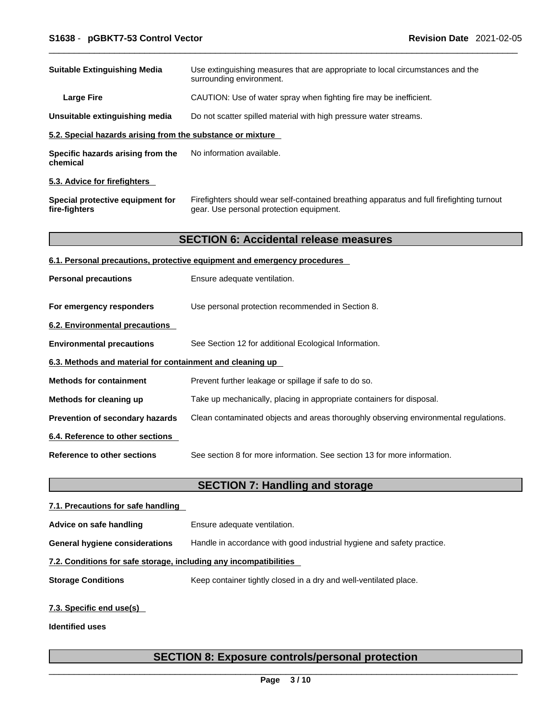| <b>Suitable Extinguishing Media</b>                        | Use extinguishing measures that are appropriate to local circumstances and the<br>surrounding environment.                            |
|------------------------------------------------------------|---------------------------------------------------------------------------------------------------------------------------------------|
| <b>Large Fire</b>                                          | CAUTION: Use of water spray when fighting fire may be inefficient.                                                                    |
| Unsuitable extinguishing media                             | Do not scatter spilled material with high pressure water streams.                                                                     |
| 5.2. Special hazards arising from the substance or mixture |                                                                                                                                       |
| Specific hazards arising from the<br>chemical              | No information available.                                                                                                             |
| 5.3. Advice for firefighters                               |                                                                                                                                       |
| Special protective equipment for<br>fire-fighters          | Firefighters should wear self-contained breathing apparatus and full firefighting turnout<br>gear. Use personal protection equipment. |
|                                                            | <b>SECTION 6: Accidental release measures</b>                                                                                         |
|                                                            | 6.1. Personal precautions, protective equipment and emergency procedures                                                              |
| <b>Personal precautions</b>                                | Ensure adequate ventilation.                                                                                                          |
| For emergency responders                                   | Use personal protection recommended in Section 8.                                                                                     |
| 6.2. Environmental precautions                             |                                                                                                                                       |
| <b>Environmental precautions</b>                           | See Section 12 for additional Ecological Information.                                                                                 |
| 6.3. Methods and material for containment and cleaning up  |                                                                                                                                       |
| <b>Methods for containment</b>                             | Prevent further leakage or spillage if safe to do so.                                                                                 |
| Methods for cleaning up                                    | Take up mechanically, placing in appropriate containers for disposal.                                                                 |
| Prevention of secondary hazards                            | Clean contaminated objects and areas thoroughly observing environmental regulations.                                                  |
| 6.4. Reference to other sections                           |                                                                                                                                       |
| <b>Reference to other sections</b>                         | See section 8 for more information. See section 13 for more information.                                                              |
|                                                            | <b>SECTION 7: Handling and storage</b>                                                                                                |
| 7.1. Precautions for safe handling                         |                                                                                                                                       |
| Advice on safe handling                                    | Ensure adequate ventilation.                                                                                                          |

**General hygiene considerations** Handle in accordance with good industrial hygiene and safety practice.

# **7.2. Conditions for safe storage, including any incompatibilities**

**Storage Conditions** Keep container tightly closed in a dry and well-ventilated place.

# **7.3. Specific end use(s)**

**Identified uses**

# **SECTION 8: Exposure controls/personal protection**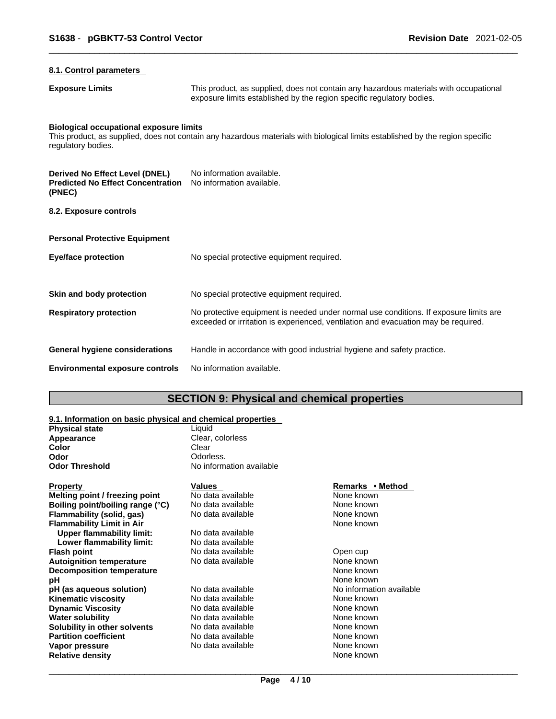# **8.1. Control parameters**

**Exposure Limits** This product, as supplied, does not contain any hazardous materials with occupational exposure limits established by the region specific regulatory bodies.

# **Biological occupational exposure limits**

This product, as supplied, does not contain any hazardous materials with biological limits established by the region specific regulatory bodies.

| Derived No Effect Level (DNEL)<br><b>Predicted No Effect Concentration</b><br>(PNEC) | No information available.<br>No information available.                                                                                                                      |
|--------------------------------------------------------------------------------------|-----------------------------------------------------------------------------------------------------------------------------------------------------------------------------|
| 8.2. Exposure controls                                                               |                                                                                                                                                                             |
| <b>Personal Protective Equipment</b>                                                 |                                                                                                                                                                             |
| <b>Eye/face protection</b>                                                           | No special protective equipment required.                                                                                                                                   |
| Skin and body protection                                                             | No special protective equipment required.                                                                                                                                   |
| <b>Respiratory protection</b>                                                        | No protective equipment is needed under normal use conditions. If exposure limits are<br>exceeded or irritation is experienced, ventilation and evacuation may be required. |
| General hygiene considerations                                                       | Handle in accordance with good industrial hygiene and safety practice.                                                                                                      |
| <b>Environmental exposure controls</b>                                               | No information available.                                                                                                                                                   |

# **SECTION 9: Physical and chemical properties**

# **9.1. Information on basic physical and chemical properties**

| 3.1. milomation on basic physical and chemical properties |
|-----------------------------------------------------------|
| Liauid                                                    |
| Clear, colorless                                          |
| Clear                                                     |
| Odorless.                                                 |
| No information available                                  |
| <b>Values</b>                                             |
|                                                           |

| Property                         | <b>Values</b>     | Remarks • Method         |
|----------------------------------|-------------------|--------------------------|
| Melting point / freezing point   | No data available | None known               |
|                                  | No data available | None known               |
| Boiling point/boiling range (°C) |                   |                          |
| Flammability (solid, gas)        | No data available | None known               |
| <b>Flammability Limit in Air</b> |                   | None known               |
| Upper flammability limit:        | No data available |                          |
| Lower flammability limit:        | No data available |                          |
| Flash point                      | No data available | Open cup                 |
| <b>Autoignition temperature</b>  | No data available | None known               |
| <b>Decomposition temperature</b> |                   | None known               |
| рH                               |                   | None known               |
| pH (as aqueous solution)         | No data available | No information available |
| Kinematic viscosity              | No data available | None known               |
| <b>Dynamic Viscosity</b>         | No data available | None known               |
| Water solubility                 | No data available | None known               |
| Solubility in other solvents     | No data available | None known               |
| <b>Partition coefficient</b>     | No data available | None known               |
| Vapor pressure                   | No data available | None known               |
| <b>Relative density</b>          |                   | None known               |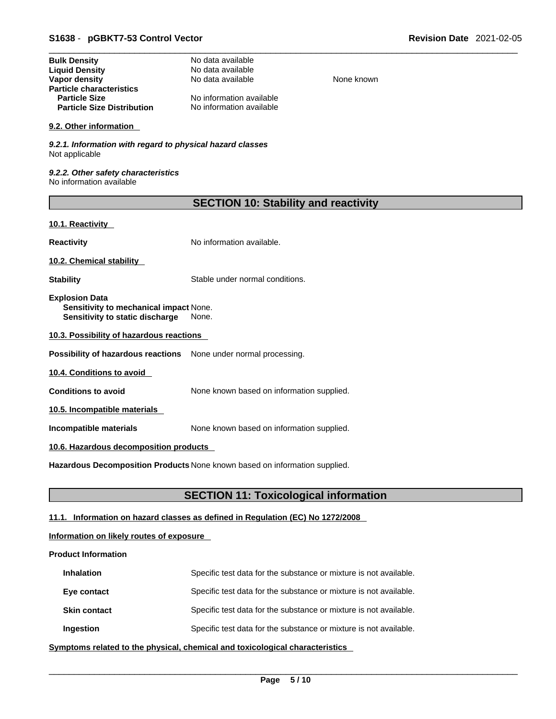| <b>Bulk Density</b>               | No data available        |
|-----------------------------------|--------------------------|
| <b>Liquid Density</b>             | No data available        |
| Vapor density                     | No data available        |
| <b>Particle characteristics</b>   |                          |
| <b>Particle Size</b>              | No information available |
| <b>Particle Size Distribution</b> | No information available |

#### **9.2. Other information**

*9.2.1. Information with regard to physical hazard classes* Not applicable

*9.2.2. Other safety characteristics* No information available

| <b>SECTION 10: Stability and reactivity</b> |  |
|---------------------------------------------|--|
|---------------------------------------------|--|

**None known** 

# **10.1. Reactivity**

**Reactivity No information available.** 

**10.2. Chemical stability** 

**Stability** Stable under normal conditions.

**Explosion Data Sensitivity to mechanical impact** None. **Sensitivity to static discharge** None.

**10.3. Possibility of hazardous reactions**

**Possibility of hazardous reactions** None under normal processing.

**10.4. Conditions to avoid** 

**Conditions to avoid** None known based on information supplied.

**10.5. Incompatible materials**

**Incompatible materials** None known based on information supplied.

# **10.6. Hazardous decomposition products**

**Hazardous Decomposition Products** None known based on information supplied.

# **SECTION 11: Toxicological information**

# **11.1. Information on hazard classes as defined in Regulation (EC) No 1272/2008**

# **Information on likely routes of exposure**

# **Product Information**

| <b>Inhalation</b>   | Specific test data for the substance or mixture is not available. |
|---------------------|-------------------------------------------------------------------|
| Eye contact         | Specific test data for the substance or mixture is not available. |
| <b>Skin contact</b> | Specific test data for the substance or mixture is not available. |
| Ingestion           | Specific test data for the substance or mixture is not available. |

**<u>Symptoms related to the physical, chemical and toxicological characteristics</u>**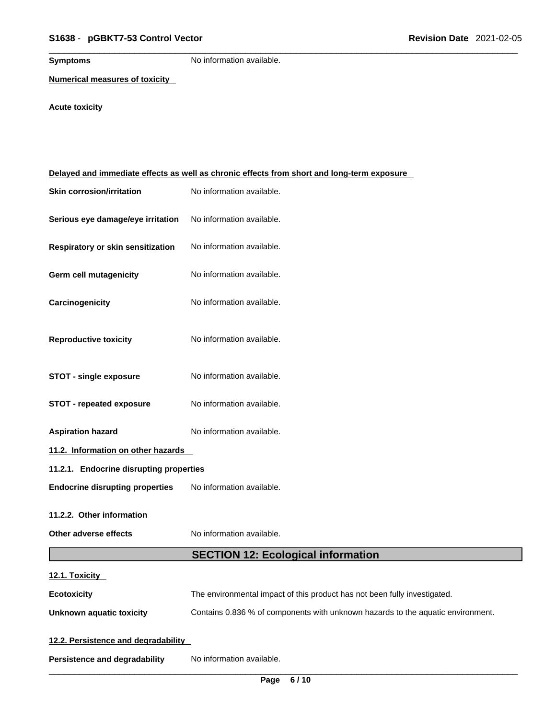**Symptoms** No information available.

**Numerical measures of toxicity**

# **Acute toxicity**

|                                         | Delayed and immediate effects as well as chronic effects from short and long-term exposure |  |
|-----------------------------------------|--------------------------------------------------------------------------------------------|--|
| <b>Skin corrosion/irritation</b>        | No information available.                                                                  |  |
| Serious eye damage/eye irritation       | No information available.                                                                  |  |
| Respiratory or skin sensitization       | No information available.                                                                  |  |
| Germ cell mutagenicity                  | No information available.                                                                  |  |
| Carcinogenicity                         | No information available.                                                                  |  |
| <b>Reproductive toxicity</b>            | No information available.                                                                  |  |
| <b>STOT - single exposure</b>           | No information available.                                                                  |  |
| <b>STOT - repeated exposure</b>         | No information available.                                                                  |  |
| <b>Aspiration hazard</b>                | No information available.                                                                  |  |
| 11.2. Information on other hazards      |                                                                                            |  |
| 11.2.1. Endocrine disrupting properties |                                                                                            |  |
| <b>Endocrine disrupting properties</b>  | No information available.                                                                  |  |
| 11.2.2. Other information               |                                                                                            |  |
| Other adverse effects                   | No information available.                                                                  |  |
|                                         | <b>SECTION 12: Ecological information</b>                                                  |  |
| 12.1. Toxicity                          |                                                                                            |  |
| <b>Ecotoxicity</b>                      | The environmental impact of this product has not been fully investigated.                  |  |
| <b>Unknown aquatic toxicity</b>         | Contains 0.836 % of components with unknown hazards to the aquatic environment.            |  |
| 12.2. Persistence and degradability     |                                                                                            |  |
| <b>Persistence and degradability</b>    | No information available.                                                                  |  |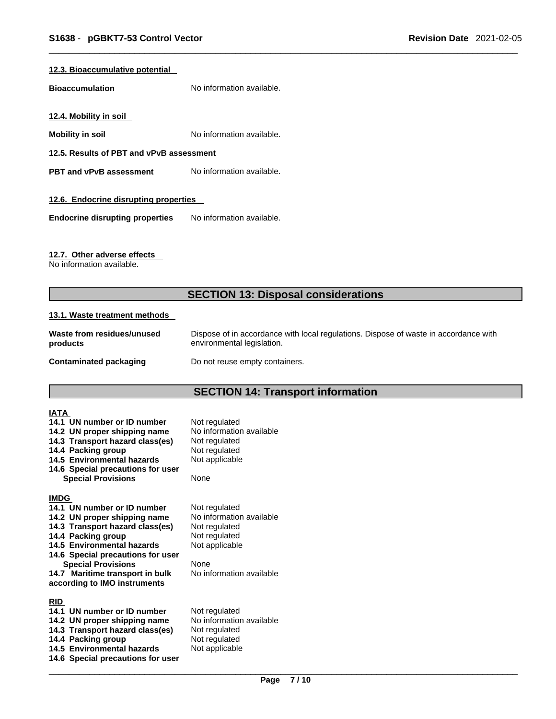# **12.3. Bioaccumulative potential**

**Bioaccumulation** No information available.

**12.4. Mobility in soil** 

**Mobility in soil Mobility in soil No** information available.

**12.5. Results of PBT and vPvB assessment**

**PBT** and **vPvB** assessment No information available.

# **12.6. Endocrine disrupting properties**

**Endocrine disrupting properties** No information available.

# **12.7. Other adverse effects**

No information available.

# **SECTION 13: Disposal considerations**

#### **13.1. Waste treatment methods**

| Waste from residues/unused | Dispose of in accordance with local regulations. Dispose of waste in accordance with |
|----------------------------|--------------------------------------------------------------------------------------|
| products                   | environmental legislation.                                                           |
| Contaminated packaging     | Do not reuse empty containers.                                                       |

# **SECTION 14: Transport information**

| <b>IATA</b><br>14.1 UN number or ID number<br>14.2 UN proper shipping name<br>14.3 Transport hazard class(es)<br>14.4 Packing group<br>14.5 Environmental hazards<br>14.6 Special precautions for user<br><b>Special Provisions</b>                                                                    | Not regulated<br>No information available<br>Not regulated<br>Not regulated<br>Not applicable<br>None                             |
|--------------------------------------------------------------------------------------------------------------------------------------------------------------------------------------------------------------------------------------------------------------------------------------------------------|-----------------------------------------------------------------------------------------------------------------------------------|
| <b>IMDG</b><br>14.1 UN number or ID number<br>14.2 UN proper shipping name<br>14.3 Transport hazard class(es)<br>14.4 Packing group<br>14.5 Environmental hazards<br>14.6 Special precautions for user<br><b>Special Provisions</b><br>14.7 Maritime transport in bulk<br>according to IMO instruments | Not regulated<br>No information available<br>Not regulated<br>Not regulated<br>Not applicable<br>None<br>No information available |
| <b>RID</b><br>14.1 UN number or ID number<br>14.2 UN proper shipping name<br>14.3 Transport hazard class(es)<br>14.4 Packing group<br>14.5 Environmental hazards<br>14.6 Special precautions for user                                                                                                  | Not regulated<br>No information available<br>Not regulated<br>Not regulated<br>Not applicable                                     |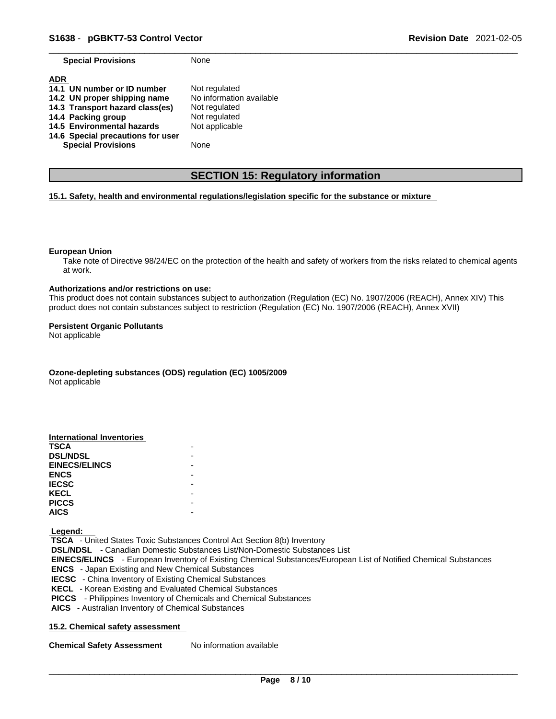**Special Provisions** None

| <b>ADR</b>                        |                          |
|-----------------------------------|--------------------------|
| 14.1 UN number or ID number       | Not regulated            |
| 14.2 UN proper shipping name      | No information available |
| 14.3 Transport hazard class(es)   | Not regulated            |
| 14.4 Packing group                | Not regulated            |
| 14.5 Environmental hazards        | Not applicable           |
| 14.6 Special precautions for user |                          |
| <b>Special Provisions</b>         | None                     |

# **SECTION 15: Regulatory information**

# **15.1. Safety, health and environmental regulations/legislation specific for the substance or mixture**

#### **European Union**

Take note of Directive 98/24/EC on the protection of the health and safety of workers from the risks related to chemical agents at work.

#### **Authorizations and/or restrictions on use:**

This product does not contain substances subject to authorization (Regulation (EC) No. 1907/2006 (REACH), Annex XIV) This product does not contain substances subject to restriction (Regulation (EC) No. 1907/2006 (REACH), Annex XVII)

#### **Persistent Organic Pollutants**

Not applicable

**Ozone-depleting substances (ODS) regulation (EC) 1005/2009**

Not applicable

| International Inventories |  |
|---------------------------|--|
| <b>TSCA</b>               |  |
| <b>DSL/NDSL</b>           |  |
| <b>EINECS/ELINCS</b>      |  |
| <b>ENCS</b>               |  |
| <b>IECSC</b>              |  |
| <b>KECL</b>               |  |
| <b>PICCS</b>              |  |
| <b>AICS</b>               |  |

 **Legend:** 

 **TSCA** - United States Toxic Substances Control Act Section 8(b) Inventory  **DSL/NDSL** - Canadian Domestic Substances List/Non-Domestic Substances List  **EINECS/ELINCS** - European Inventory of Existing Chemical Substances/European List of Notified Chemical Substances  **ENCS** - Japan Existing and New Chemical Substances  **IECSC** - China Inventory of Existing Chemical Substances  **KECL** - Korean Existing and Evaluated Chemical Substances  **PICCS** - Philippines Inventory of Chemicals and Chemical Substances  **AICS** - Australian Inventory of Chemical Substances

# **15.2. Chemical safety assessment**

**Chemical Safety Assessment** No information available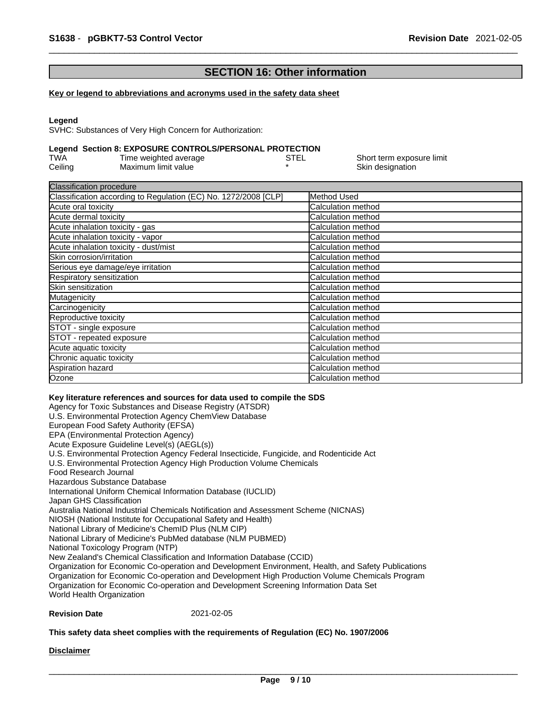# **SECTION 16: Other information**

#### **Key or legend to abbreviations and acronyms used in the safety data sheet**

#### **Legend**

SVHC: Substances of Very High Concern for Authorization:

# **Legend Section 8: EXPOSURE CONTROLS/PERSONAL PROTECTION**

| TWA     | Time weighted average | STEL | Short term exposure limit |
|---------|-----------------------|------|---------------------------|
| Ceiling | Maximum limit value   |      | Skin designation          |

| Method Used                |
|----------------------------|
| Calculation method         |
| Calculation method         |
| Calculation method         |
| Calculation method         |
| <b>Calculation method</b>  |
| <b>ICalculation method</b> |
| Calculation method         |
| Calculation method         |
| Calculation method         |
| Calculation method         |
| Calculation method         |
| <b>Calculation method</b>  |
| Calculation method         |
| Calculation method         |
| Calculation method         |
| Calculation method         |
| <b>Calculation method</b>  |
| Calculation method         |
|                            |

#### **Key literature references and sources for data used to compile the SDS**

Agency for Toxic Substances and Disease Registry (ATSDR) U.S. Environmental Protection Agency ChemView Database European Food Safety Authority (EFSA) EPA (Environmental Protection Agency) Acute Exposure Guideline Level(s) (AEGL(s)) U.S. Environmental Protection Agency Federal Insecticide, Fungicide, and Rodenticide Act U.S. Environmental Protection Agency High Production Volume Chemicals Food Research Journal Hazardous Substance Database International Uniform Chemical Information Database (IUCLID) Japan GHS Classification Australia National Industrial Chemicals Notification and Assessment Scheme (NICNAS) NIOSH (National Institute for Occupational Safety and Health) National Library of Medicine's ChemID Plus (NLM CIP) National Library of Medicine's PubMed database (NLM PUBMED) National Toxicology Program (NTP) New Zealand's Chemical Classification and Information Database (CCID) Organization for Economic Co-operation and Development Environment, Health, and Safety Publications Organization for Economic Co-operation and Development High Production Volume Chemicals Program Organization for Economic Co-operation and Development Screening Information Data Set World Health Organization

#### **Revision Date** 2021-02-05

#### **This safety data sheet complies with the requirements of Regulation (EC) No. 1907/2006**

# **Disclaimer**